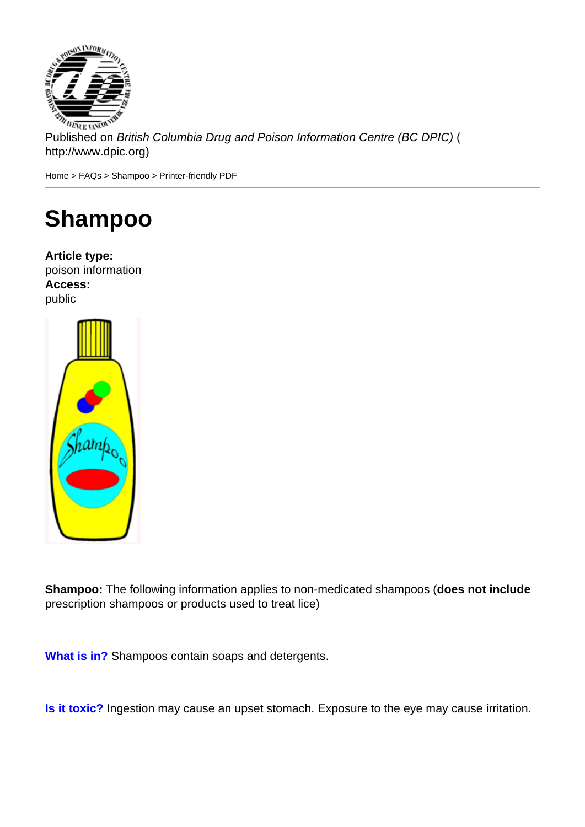Published on British Columbia Drug and Poison Information Centre (BC DPIC) ( http://www.dpic.org)

Home > FAQs > Shampoo > Printer-friendly PDF

# [Sh](http://www.dpic.org/)[am](http://www.dpic.org/faq)poo

Article type: poison information Access: public

Shampoo: The following information applies to non-medicated shampoos (does not include prescription shampoos or products used to treat lice)

What is in? Shampoos contain soaps and detergents.

Is it toxic? Ingestion may cause an upset stomach. Exposure to the eye may cause irritation.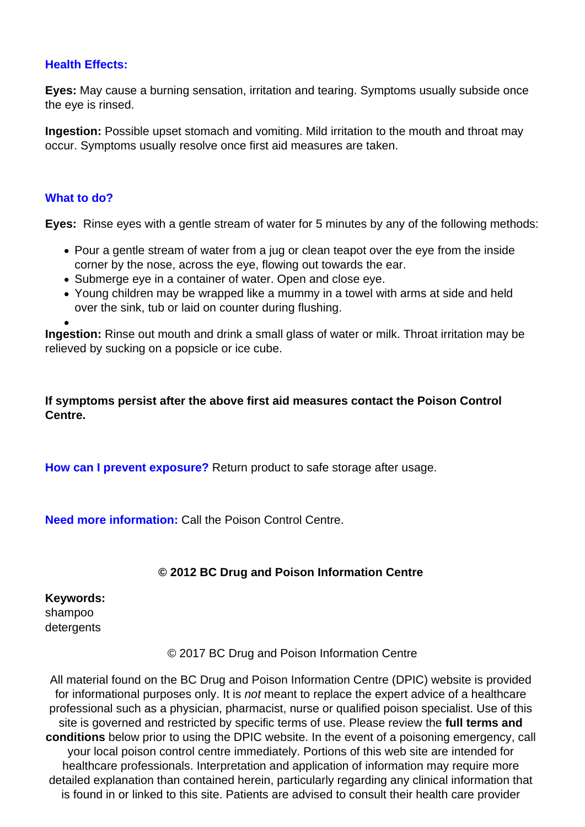### **Health Effects:**

**Eyes:** May cause a burning sensation, irritation and tearing. Symptoms usually subside once the eye is rinsed.

**Ingestion:** Possible upset stomach and vomiting. Mild irritation to the mouth and throat may occur. Symptoms usually resolve once first aid measures are taken.

#### **What to do?**

**Eyes:** Rinse eyes with a gentle stream of water for 5 minutes by any of the following methods:

- Pour a gentle stream of water from a jug or clean teapot over the eye from the inside corner by the nose, across the eye, flowing out towards the ear.
- Submerge eye in a container of water. Open and close eye.
- Young children may be wrapped like a mummy in a towel with arms at side and held over the sink, tub or laid on counter during flushing.

**Ingestion:** Rinse out mouth and drink a small glass of water or milk. Throat irritation may be relieved by sucking on a popsicle or ice cube.

**If symptoms persist after the above first aid measures contact the Poison Control Centre.**

**How can I prevent exposure?** Return product to safe storage after usage.

**Need more information:** Call the Poison Control Centre.

## **© 2012 BC Drug and Poison Information Centre**

**Keywords:**  shampoo detergents

© 2017 BC Drug and Poison Information Centre

All material found on the BC Drug and Poison Information Centre (DPIC) website is provided for informational purposes only. It is *not* meant to replace the expert advice of a healthcare professional such as a physician, pharmacist, nurse or qualified poison specialist. Use of this site is governed and restricted by specific terms of use. Please review the **full terms and conditions** below prior to using the DPIC website. In the event of a poisoning emergency, call your local poison control centre immediately. Portions of this web site are intended for healthcare professionals. Interpretation and application of information may require more detailed explanation than contained herein, particularly regarding any clinical information that is found in or linked to this site. Patients are advised to consult their health care provider